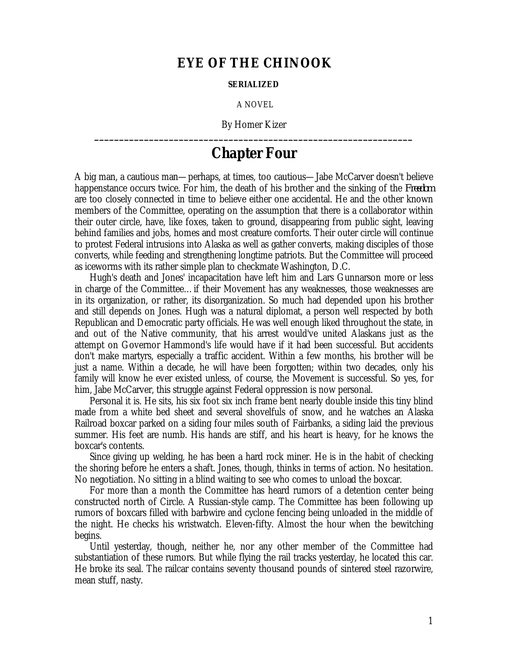## **EYE OF THE CHINOOK**

## **SERIALIZED**

A NOVEL

By Homer Kizer **\_\_\_\_\_\_\_\_\_\_\_\_\_\_\_\_\_\_\_\_\_\_\_\_\_\_\_\_\_\_\_\_\_\_\_\_\_\_\_\_\_\_\_\_\_\_\_\_\_\_\_\_\_\_\_\_\_\_\_\_\_\_\_\_**

## **Chapter Four**

A big man, a cautious man—perhaps, at times, too cautious—Jabe McCarver doesn't believe happenstance occurs twice. For him, the death of his brother and the sinking of the *Freedom* are too closely connected in time to believe either one accidental. He and the other known members of the Committee, operating on the assumption that there is a collaborator within their outer circle, have, like foxes, taken to ground, disappearing from public sight, leaving behind families and jobs, homes and most creature comforts. Their outer circle will continue to protest Federal intrusions into Alaska as well as gather converts, making disciples of those converts, while feeding and strengthening longtime patriots. But the Committee will proceed as iceworms with its rather simple plan to checkmate Washington, D.C.

Hugh's death and Jones' incapacitation have left him and Lars Gunnarson more or less in charge of the Committee…if their Movement has any weaknesses, those weaknesses are in its organization, or rather, its disorganization. So much had depended upon his brother and still depends on Jones. Hugh was a natural diplomat, a person well respected by both Republican and Democratic party officials. He was well enough liked throughout the state, in and out of the Native community, that his arrest would've united Alaskans just as the attempt on Governor Hammond's life would have if it had been successful. But accidents don't make martyrs, especially a traffic accident. Within a few months, his brother will be just a name. Within a decade, he will have been forgotten; within two decades, only his family will know he ever existed unless, of course, the Movement is successful. So yes, for him, Jabe McCarver, this struggle against Federal oppression is now personal.

Personal it is. He sits, his six foot six inch frame bent nearly double inside this tiny blind made from a white bed sheet and several shovelfuls of snow, and he watches an Alaska Railroad boxcar parked on a siding four miles south of Fairbanks, a siding laid the previous summer. His feet are numb. His hands are stiff, and his heart is heavy, for he knows the boxcar's contents.

Since giving up welding, he has been a hard rock miner. He is in the habit of checking the shoring before he enters a shaft. Jones, though, thinks in terms of action. No hesitation. No negotiation. No sitting in a blind waiting to see who comes to unload the boxcar.

For more than a month the Committee has heard rumors of a detention center being constructed north of Circle. A Russian-style camp. The Committee has been following up rumors of boxcars filled with barbwire and cyclone fencing being unloaded in the middle of the night. He checks his wristwatch. Eleven-fifty. Almost the hour when the bewitching begins.

Until yesterday, though, neither he, nor any other member of the Committee had substantiation of these rumors. But while flying the rail tracks yesterday, he located this car. He broke its seal. The railcar contains seventy thousand pounds of sintered steel razorwire, mean stuff, nasty.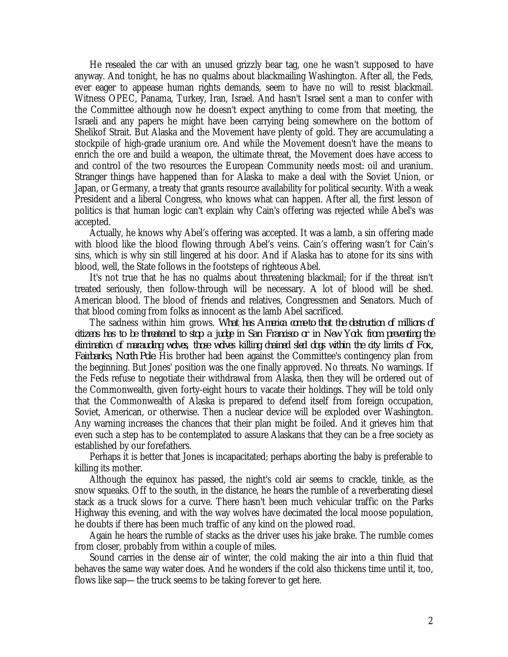He resealed the car with an unused grizzly bear tag, one he wasn't supposed to have anyway. And tonight, he has no qualms about blackmailing Washington. After all, the Feds, ever eager to appease human rights demands, seem to have no will to resist blackmail. Witness OPEC, Panama, Turkey, Iran, Israel. And hasn't Israel sent a man to confer with the Committee although now he doesn't expect anything to come from that meeting, the Israeli and any papers he might have been carrying being somewhere on the bottom of Shelikof Strait. But Alaska and the Movement have plenty of gold. They are accumulating a stockpile of high-grade uranium ore. And while the Movement doesn't have the means to enrich the ore and build a weapon, the ultimate threat, the Movement does have access to and control of the two resources the European Community needs most: oil and uranium. Stranger things have happened than for Alaska to make a deal with the Soviet Union, or Japan, or Germany, a treaty that grants resource availability for political security. With a weak President and a liberal Congress, who knows what can happen. After all, the first lesson of politics is that human logic can't explain why Cain's offering was rejected while Abel's was accepted.

Actually, he knows why Abel's offering was accepted. It was a lamb, a sin offering made with blood like the blood flowing through Abel's veins. Cain's offering wasn't for Cain's sins, which is why sin still lingered at his door. And if Alaska has to atone for its sins with blood, well, the State follows in the footsteps of righteous Abel.

It's not true that he has no qualms about threatening blackmail; for if the threat isn't treated seriously, then follow-through will be necessary. A lot of blood will be shed. American blood. The blood of friends and relatives, Congressmen and Senators. Much of that blood coming from folks as innocent as the lamb Abel sacrificed.

The sadness within him grows. *What has America come-to that the destruction of millions of citizens has to be threatened to stop a judge in San Francisco or in New York from preventing the elimination of marauding wolves, those wolves killing chained sled dogs within the city limits of Fox, Fairbanks, North Pole.* His brother had been against the Committee's contingency plan from the beginning. But Jones' position was the one finally approved. No threats. No warnings. If the Feds refuse to negotiate their withdrawal from Alaska, then they will be ordered out of the Commonwealth, given forty-eight hours to vacate their holdings. They will be told only that the Commonwealth of Alaska is prepared to defend itself from foreign occupation, Soviet, American, or otherwise. Then a nuclear device will be exploded over Washington. Any warning increases the chances that their plan might be foiled. And it grieves him that even such a step has to be contemplated to assure Alaskans that they can be a free society as established by our forefathers.

Perhaps it is better that Jones is incapacitated; perhaps aborting the baby is preferable to killing its mother.

Although the equinox has passed, the night's cold air seems to crackle, tinkle, as the snow squeaks. Off to the south, in the distance, he hears the rumble of a reverberating diesel stack as a truck slows for a curve. There hasn't been much vehicular traffic on the Parks Highway this evening, and with the way wolves have decimated the local moose population, he doubts if there has been much traffic of any kind on the plowed road.

Again he hears the rumble of stacks as the driver uses his jake brake. The rumble comes from closer, probably from within a couple of miles.

Sound carries in the dense air of winter, the cold making the air into a thin fluid that behaves the same way water does. And he wonders if the cold also thickens time until it, too, flows like sap—the truck seems to be taking forever to get here.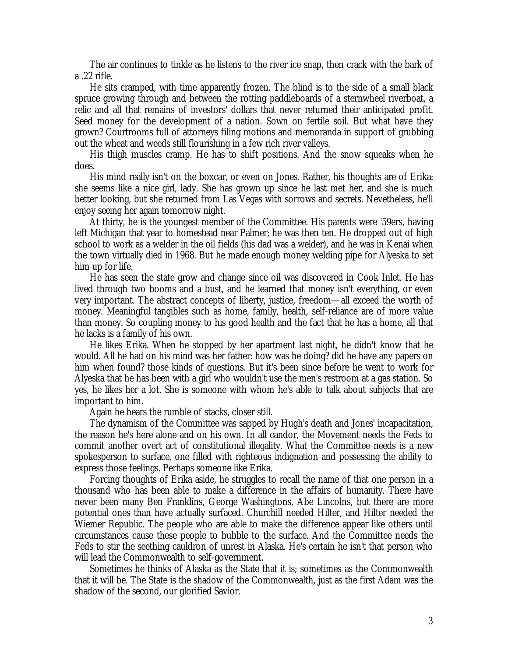The air continues to tinkle as he listens to the river ice snap, then crack with the bark of a .22 rifle.

He sits cramped, with time apparently frozen. The blind is to the side of a small black spruce growing through and between the rotting paddleboards of a sternwheel riverboat, a relic and all that remains of investors' dollars that never returned their anticipated profit. Seed money for the development of a nation. Sown on fertile soil. But what have they grown? Courtrooms full of attorneys filing motions and memoranda in support of grubbing out the wheat and weeds still flourishing in a few rich river valleys.

His thigh muscles cramp. He has to shift positions. And the snow squeaks when he does.

His mind really isn't on the boxcar, or even on Jones. Rather, his thoughts are of Erika: she seems like a nice girl, lady. She has grown up since he last met her, and she is much better looking, but she returned from Las Vegas with sorrows and secrets. Nevetheless, he'll enjoy seeing her again tomorrow night.

At thirty, he is the youngest member of the Committee. His parents were '59ers, having left Michigan that year to homestead near Palmer; he was then ten. He dropped out of high school to work as a welder in the oil fields (his dad was a welder), and he was in Kenai when the town virtually died in 1968. But he made enough money welding pipe for Alyeska to set him up for life.

He has seen the state grow and change since oil was discovered in Cook Inlet. He has lived through two booms and a bust, and he learned that money isn't everything, or even very important. The abstract concepts of liberty, justice, freedom—all exceed the worth of money. Meaningful tangibles such as home, family, health, self-reliance are of more value than money. So coupling money to his good health and the fact that he has a home, all that he lacks is a family of his own.

He likes Erika. When he stopped by her apartment last night, he didn't know that he would. All he had on his mind was her father: how was he doing? did he have any papers on him when found? those kinds of questions. But it's been since before he went to work for Alyeska that he has been with a girl who wouldn't use the men's restroom at a gas station. So yes, he likes her a lot. She is someone with whom he's able to talk about subjects that are important to him.

Again he hears the rumble of stacks, closer still.

The dynamism of the Committee was sapped by Hugh's death and Jones' incapacitation, the reason he's here alone and on his own. In all candor, the Movement needs the Feds to commit another overt act of constitutional illegality. What the Committee needs is a new spokesperson to surface, one filled with righteous indignation and possessing the ability to express those feelings. Perhaps someone like Erika.

Forcing thoughts of Erika aside, he struggles to recall the name of that one person in a thousand who has been able to make a difference in the affairs of humanity. There have never been many Ben Franklins, George Washingtons, Abe Lincolns, but there are more potential ones than have actually surfaced. Churchill needed Hilter, and Hilter needed the Wiemer Republic. The people who are able to make the difference appear like others until circumstances cause these people to bubble to the surface. And the Committee needs the Feds to stir the seething cauldron of unrest in Alaska. He's certain he isn't that person who will lead the Commonwealth to self-government.

Sometimes he thinks of Alaska as the State that it is; sometimes as the Commonwealth that it will be. The State is the shadow of the Commonwealth, just as the first Adam was the shadow of the second, our glorified Savior.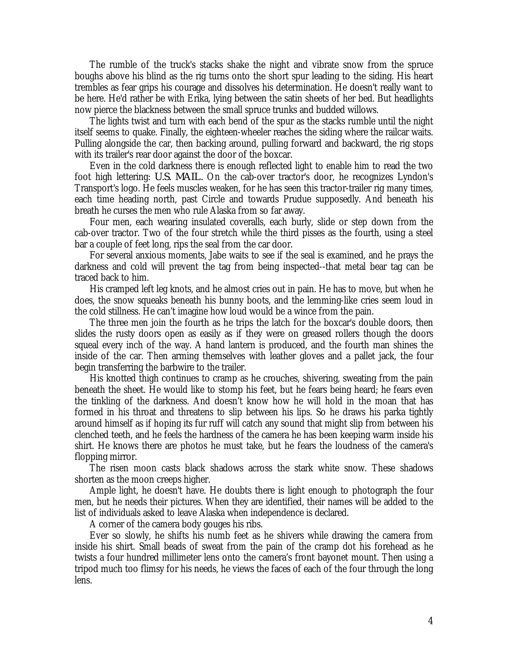The rumble of the truck's stacks shake the night and vibrate snow from the spruce boughs above his blind as the rig turns onto the short spur leading to the siding. His heart trembles as fear grips his courage and dissolves his determination. He doesn't really want to be here. He'd rather be with Erika, lying between the satin sheets of her bed. But headlights now pierce the blackness between the small spruce trunks and budded willows.

The lights twist and turn with each bend of the spur as the stacks rumble until the night itself seems to quake. Finally, the eighteen-wheeler reaches the siding where the railcar waits. Pulling alongside the car, then backing around, pulling forward and backward, the rig stops with its trailer's rear door against the door of the boxcar.

Even in the cold darkness there is enough reflected light to enable him to read the two foot high lettering: *U.S. MAIL.* On the cab-over tractor's door, he recognizes Lyndon's Transport's logo. He feels muscles weaken, for he has seen this tractor-trailer rig many times, each time heading north, past Circle and towards Prudue supposedly. And beneath his breath he curses the men who rule Alaska from so far away.

Four men, each wearing insulated coveralls, each burly, slide or step down from the cab-over tractor. Two of the four stretch while the third pisses as the fourth, using a steel bar a couple of feet long, rips the seal from the car door.

For several anxious moments, Jabe waits to see if the seal is examined, and he prays the darkness and cold will prevent the tag from being inspected--that metal bear tag can be traced back to him.

His cramped left leg knots, and he almost cries out in pain. He has to move, but when he does, the snow squeaks beneath his bunny boots, and the lemming-like cries seem loud in the cold stillness. He can't imagine how loud would be a wince from the pain.

The three men join the fourth as he trips the latch for the boxcar's double doors, then slides the rusty doors open as easily as if they were on greased rollers though the doors squeal every inch of the way. A hand lantern is produced, and the fourth man shines the inside of the car. Then arming themselves with leather gloves and a pallet jack, the four begin transferring the barbwire to the trailer.

His knotted thigh continues to cramp as he crouches, shivering, sweating from the pain beneath the sheet. He would like to stomp his feet, but he fears being heard; he fears even the tinkling of the darkness. And doesn't know how he will hold in the moan that has formed in his throat and threatens to slip between his lips. So he draws his parka tightly around himself as if hoping its fur ruff will catch any sound that might slip from between his clenched teeth, and he feels the hardness of the camera he has been keeping warm inside his shirt. He knows there are photos he must take, but he fears the loudness of the camera's flopping mirror.

The risen moon casts black shadows across the stark white snow. These shadows shorten as the moon creeps higher.

Ample light, he doesn't have. He doubts there is light enough to photograph the four men, but he needs their pictures. When they are identified, their names will be added to the list of individuals asked to leave Alaska when independence is declared.

A corner of the camera body gouges his ribs.

Ever so slowly, he shifts his numb feet as he shivers while drawing the camera from inside his shirt. Small beads of sweat from the pain of the cramp dot his forehead as he twists a four hundred millimeter lens onto the camera's front bayonet mount. Then using a tripod much too flimsy for his needs, he views the faces of each of the four through the long lens.